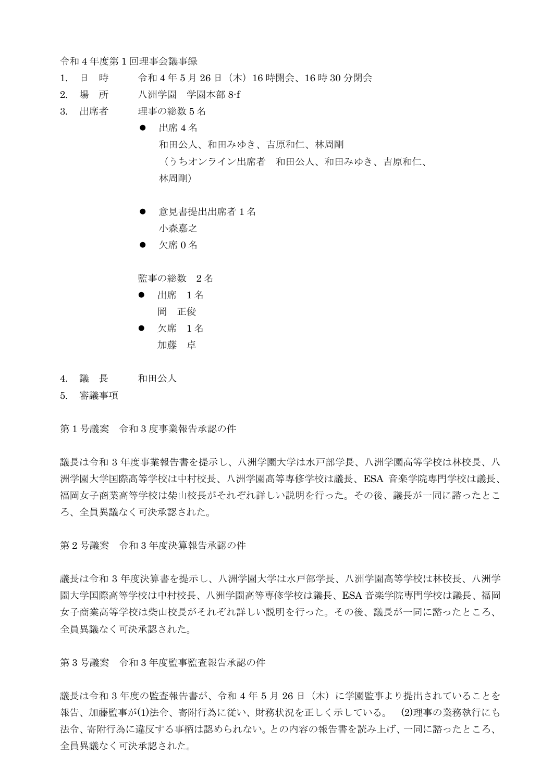令和 4 年度第 1 回理事会議事録

- 1. 日 時 令和 4 年 5 月 26 日(木)16 時開会、16 時 30 分閉会
- 2. 場 所 八洲学園 学園本部 8-f
- 3. 出席者 理事の総数 5 名
	- $\bullet$  出席 4 名 和田公人、和田みゆき、吉原和仁、林周剛 (うちオンライン出席者 和田公人、和田みゆき、吉原和仁、 林周剛)
	- 意見書提出出席者 1 名 小森嘉之
	- 欠席  $0$  名

監事の総数 2 名

- 出席 1名 岡 正俊
- 欠席 1名 加藤 卓
- 4. 議 長 和田公人
- 5. 審議事項

第 1 号議案 令和 3 度事業報告承認の件

議長は令和 3 年度事業報告書を提示し、八洲学園大学は水戸部学長、八洲学園高等学校は林校長、八 洲学園大学国際高等学校は中村校長、八洲学園高等専修学校は議長、ESA 音楽学院専門学校は議長、 福岡女子商業高等学校は柴山校長がそれぞれ詳しい説明を行った。その後、議長が一同に諮ったとこ ろ、全員異議なく可決承認された。

第 2 号議案 令和 3 年度決算報告承認の件

議長は令和 3 年度決算書を提示し、八洲学園大学は水戸部学長、八洲学園高等学校は林校長、八洲学 園大学国際高等学校は中村校長、八洲学園高等専修学校は議長、ESA 音楽学院専門学校は議長、福岡 女子商業高等学校は柴山校長がそれぞれ詳しい説明を行った。その後、議長が一同に諮ったところ、 全員異議なく可決承認された。

第 3 号議案 令和 3 年度監事監査報告承認の件

議長は令和 3 年度の監査報告書が、令和 4 年 5 月 26 日(木)に学園監事より提出されていることを 報告、加藤監事が(1)法令、寄附行為に従い、財務状況を正しく示している。 (2)理事の業務執行にも 法令、寄附行為に違反する事柄は認められない。との内容の報告書を読み上げ、一同に諮ったところ、 全員異議なく可決承認された。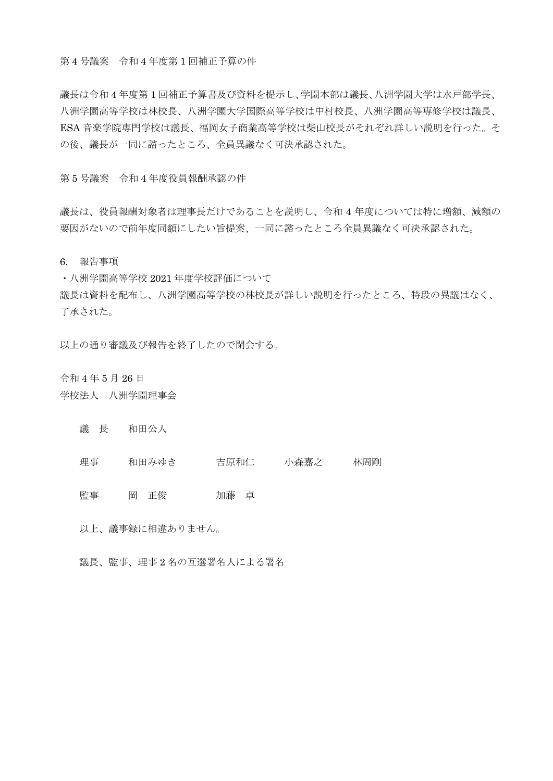第 4 号議案 令和 4 年度第 1 回補正予算の件

議長は令和 4 年度第 1 回補正予算書及び資料を提示し、学園本部は議長、八洲学園大学は水戸部学長、 八洲学園高等学校は林校長、八洲学園大学国際高等学校は中村校長、八洲学園高等専修学校は議長、 ESA 音楽学院専門学校は議長、福岡女子商業高等学校は柴山校長がそれぞれ詳しい説明を行った。そ の後、議長が一同に諮ったところ、全員異議なく可決承認された。

第 5 号議案 令和 4 年度役員報酬承認の件

議長は、役員報酬対象者は理事長だけであることを説明し、令和 4 年度については特に増額、減額の 要因がないので前年度同額にしたい旨提案、一同に諮ったところ全員異議なく可決承認された。

6. 報告事項

・八洲学園高等学校 2021 年度学校評価について 議長は資料を配布し、八洲学園高等学校の林校長が詳しい説明を行ったところ、特段の異議はなく、 了承された。

以上の通り審議及び報告を終了したので閉会する。

令和 4 年 5 月 26 日

- 学校法人 八洲学園理事会
	- 議 長 和田公人
	- 理事 和田みゆき 吉原和仁 小森嘉之 林周剛

監事 岡 正俊 初藤 卓

以上、議事録に相違ありません。

議長、監事、理事 2 名の互選署名人による署名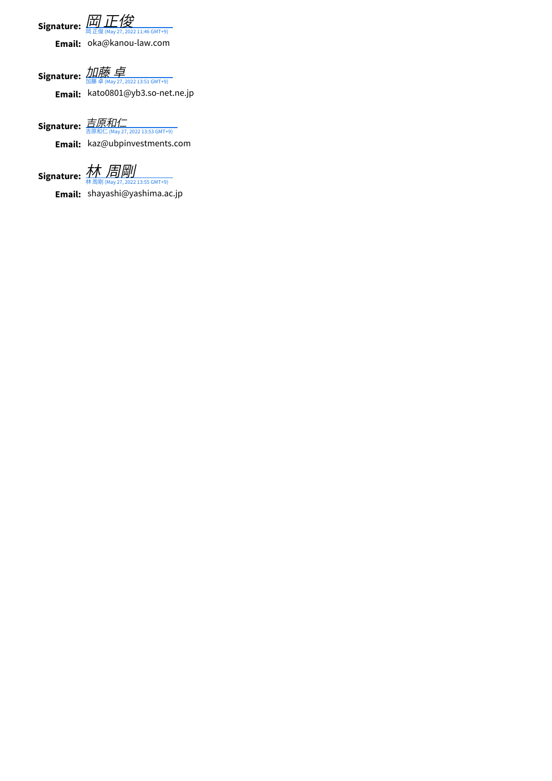Signature: <del>団 [正俊](https://na1.documents.adobe.com/verifier?tx=CBJCHBCAABAAvb7S6h9BmAAAWeZvEQft8DPorDvdhRuv) May 27, 2022 11:46 GMT+9)</del>

**Email:** oka@kanou-law.com

**Signature:** 加藤 卓 **Email:** kato0801@yb3.so-net.ne.jp  $(022, 13:51 \text{ GMT+9})$ 

**Signature:** [吉原和仁](https://na1.documents.adobe.com/verifier?tx=CBJCHBCAABAAvb7S6h9BmAAAWeZvEQft8DPorDvdhRuv) **Email:** kaz@ubpinvestments.com .<br>7, 2022 13:53 GMT+9)

**Signature:** 林 林 周剛 (May 27, 2022 13:55 GMT+9) [周剛](https://na1.documents.adobe.com/verifier?tx=CBJCHBCAABAAvb7S6h9BmAAAWeZvEQft8DPorDvdhRuv)

**Email:** shayashi@yashima.ac.jp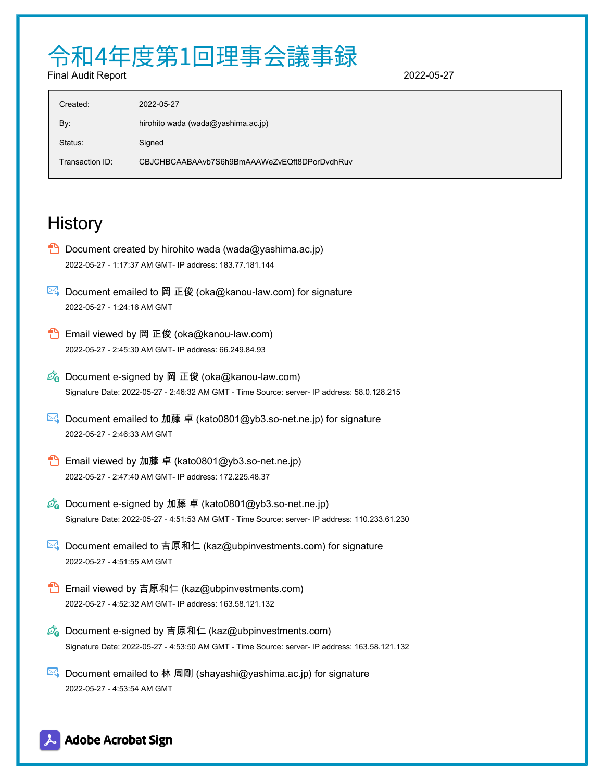## 令和4年度第1回理事会議事録

Final Audit Report 2022-05-27

| Created:        | 2022-05-27                                   |
|-----------------|----------------------------------------------|
| By:             | hirohito wada (wada@yashima.ac.jp)           |
| Status:         | Signed                                       |
| Transaction ID: | CBJCHBCAABAAvb7S6h9BmAAAWeZvEQft8DPorDvdhRuv |

## **History**

- **D** Document created by hirohito wada (wada@yashima.ac.jp) 2022-05-27 - 1:17:37 AM GMT- IP address: 183.77.181.144
- $\boxtimes$  Document emailed to 岡 正俊 (oka@kanou-law.com) for signature 2022-05-27 - 1:24:16 AM GMT
- **Email viewed by 岡 正俊 (oka@kanou-law.com)** 2022-05-27 - 2:45:30 AM GMT- IP address: 66.249.84.93
- $\mathscr{O}_\bullet$  Document e-signed by 岡 正俊 (oka@kanou-law.com) Signature Date: 2022-05-27 - 2:46:32 AM GMT - Time Source: server- IP address: 58.0.128.215
- $\mathbb{R}$  Document emailed to 加藤 卓 (kato0801@yb3.so-net.ne.jp) for signature 2022-05-27 - 2:46:33 AM GMT
- **Email viewed by 加藤 卓 (kato0801@yb3.so-net.ne.jp)** 2022-05-27 - 2:47:40 AM GMT- IP address: 172.225.48.37
- $\mathscr{O}_\mathbf{Q}$  Document e-signed by 加藤 卓 (kato0801@yb3.so-net.ne.jp) Signature Date: 2022-05-27 - 4:51:53 AM GMT - Time Source: server- IP address: 110.233.61.230
- $\mathbb{E}$  Document emailed to 吉原和仁 (kaz@ubpinvestments.com) for signature 2022-05-27 - 4:51:55 AM GMT
- **B** Email viewed by 吉原和仁 (kaz@ubpinvestments.com) 2022-05-27 - 4:52:32 AM GMT- IP address: 163.58.121.132
- $\mathcal{O}_\bullet$  Document e-signed by 吉原和仁 (kaz@ubpinvestments.com) Signature Date: 2022-05-27 - 4:53:50 AM GMT - Time Source: server- IP address: 163.58.121.132
- $\mathbb{R}$  Document emailed to 林 周剛 (shayashi@yashima.ac.jp) for signature 2022-05-27 - 4:53:54 AM GMT

## Adobe Acrobat Sign